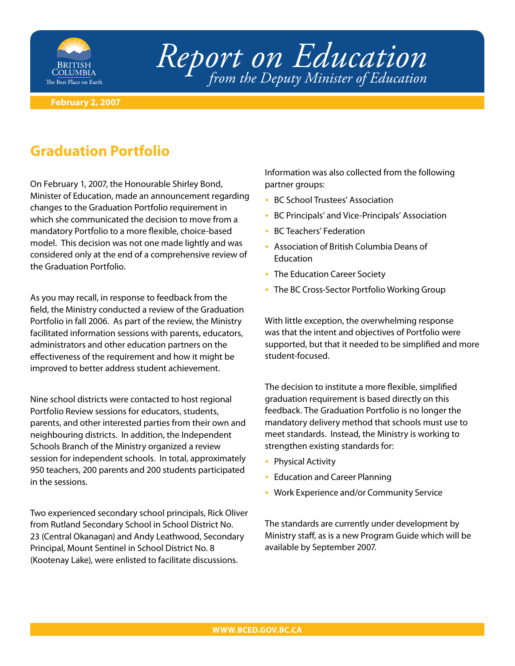

## *Report on Education from the Deputy Minister of Education*

## **February 2, 2007**

## **Graduation Portfolio**

On February 1, 2007, the Honourable Shirley Bond, Minister of Education, made an announcement regarding changes to the Graduation Portfolio requirement in which she communicated the decision to move from a mandatory Portfolio to a more flexible, choice-based model. This decision was not one made lightly and was considered only at the end of a comprehensive review of the Graduation Portfolio.

As you may recall, in response to feedback from the field, the Ministry conducted a review of the Graduation Portfolio in fall 2006. As part of the review, the Ministry facilitated information sessions with parents, educators, administrators and other education partners on the effectiveness of the requirement and how it might be improved to better address student achievement.

Nine school districts were contacted to host regional Portfolio Review sessions for educators, students, parents, and other interested parties from their own and neighbouring districts. In addition, the Independent Schools Branch of the Ministry organized a review session for independent schools. In total, approximately 950 teachers, 200 parents and 200 students participated in the sessions.

Two experienced secondary school principals, Rick Oliver from Rutland Secondary School in School District No. 23 (Central Okanagan) and Andy Leathwood, Secondary Principal, Mount Sentinel in School District No. 8 (Kootenay Lake), were enlisted to facilitate discussions.

Information was also collected from the following partner groups:

- BC School Trustees' Association
- BC Principals' and Vice-Principals' Association
- BC Teachers' Federation
- Association of British Columbia Deans of **Education**
- The Education Career Society
- The BC Cross-Sector Portfolio Working Group

With little exception, the overwhelming response was that the intent and objectives of Portfolio were supported, but that it needed to be simplified and more student-focused.

The decision to institute a more flexible, simplified graduation requirement is based directly on this feedback. The Graduation Portfolio is no longer the mandatory delivery method that schools must use to meet standards. Instead, the Ministry is working to strengthen existing standards for:

- Physical Activity
- Education and Career Planning
- Work Experience and/or Community Service •

The standards are currently under development by Ministry staff, as is a new Program Guide which will be available by September 2007.